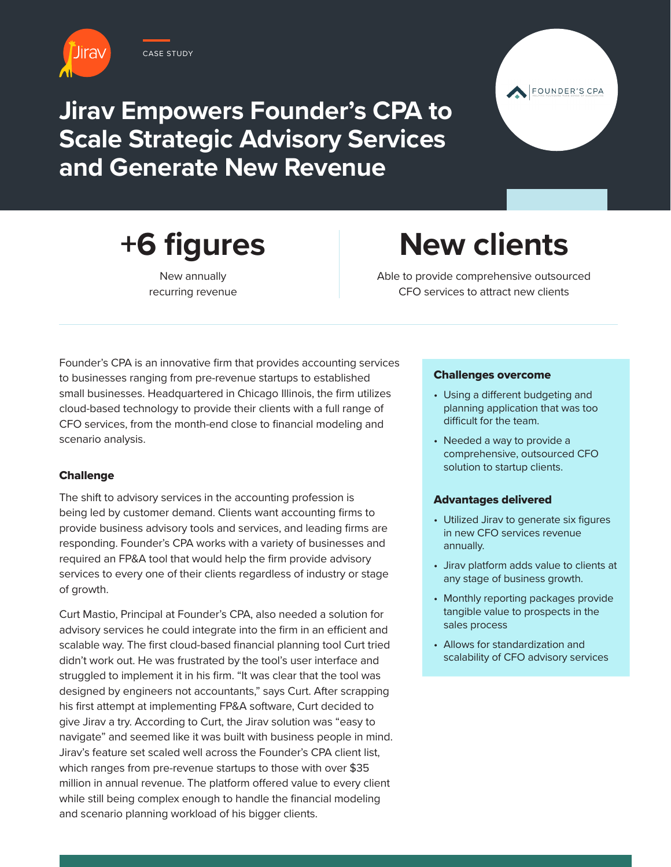

CASE STUDY





**+6 figures**

New annually recurring revenue

# **New clients**

Able to provide comprehensive outsourced CFO services to attract new clients

Founder's CPA is an innovative firm that provides accounting services to businesses ranging from pre-revenue startups to established small businesses. Headquartered in Chicago Illinois, the firm utilizes cloud-based technology to provide their clients with a full range of CFO services, from the month-end close to financial modeling and scenario analysis.

## **Challenge**

The shift to advisory services in the accounting profession is being led by customer demand. Clients want accounting firms to provide business advisory tools and services, and leading firms are responding. Founder's CPA works with a variety of businesses and required an FP&A tool that would help the firm provide advisory services to every one of their clients regardless of industry or stage of growth.

Curt Mastio, Principal at Founder's CPA, also needed a solution for advisory services he could integrate into the firm in an efficient and scalable way. The first cloud-based financial planning tool Curt tried didn't work out. He was frustrated by the tool's user interface and struggled to implement it in his firm. "It was clear that the tool was designed by engineers not accountants," says Curt. After scrapping his first attempt at implementing FP&A software, Curt decided to give Jirav a try. According to Curt, the Jirav solution was "easy to navigate" and seemed like it was built with business people in mind. Jirav's feature set scaled well across the Founder's CPA client list, which ranges from pre-revenue startups to those with over \$35 million in annual revenue. The platform offered value to every client while still being complex enough to handle the financial modeling and scenario planning workload of his bigger clients.

### Challenges overcome

- Using a different budgeting and planning application that was too difficult for the team.
- Needed a way to provide a comprehensive, outsourced CFO solution to startup clients.

## Advantages delivered

- Utilized Jirav to generate six figures in new CFO services revenue annually.
- Jirav platform adds value to clients at any stage of business growth.
- Monthly reporting packages provide tangible value to prospects in the sales process
- Allows for standardization and scalability of CFO advisory services